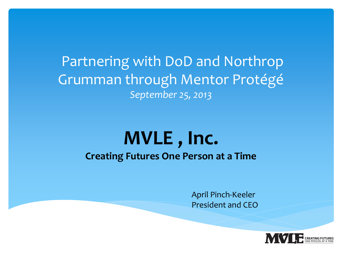Partnering with DoD and Northrop Grumman through Mentor Protégé *September 25, 2013*

# **MVLE , Inc.**

#### **Creating Futures One Person at a Time**

April Pinch-Keeler President and CEO

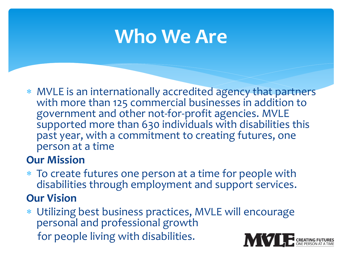# **Who We Are**

 MVLE is an internationally accredited agency that partners with more than 125 commercial businesses in addition to government and other not-for-profit agencies. MVLE supported more than 630 individuals with disabilities this past year, with a commitment to creating futures, one person at a time

#### **Our Mission**

 To create futures one person at a time for people with disabilities through employment and support services.

#### **Our Vision**

 Utilizing best business practices, MVLE will encourage personal and professional growth for people living with disabilities.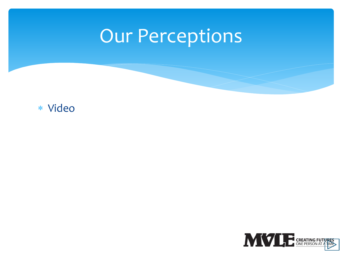# Our Perceptions

#### Video

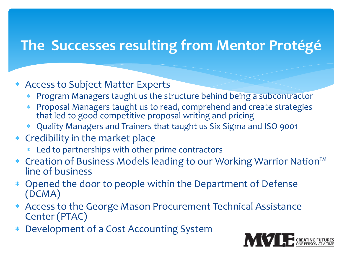## **The Successes resulting from Mentor Protégé**

#### Access to Subject Matter Experts

- Program Managers taught us the structure behind being a subcontractor
- Proposal Managers taught us to read, comprehend and create strategies that led to good competitive proposal writing and pricing
- Quality Managers and Trainers that taught us Six Sigma and ISO 9001
- Credibility in the market place
	- Led to partnerships with other prime contractors
- Creation of Business Models leading to our Working Warrior Nation™ line of business
- Opened the door to people within the Department of Defense (DCMA)
- Access to the George Mason Procurement Technical Assistance Center (PTAC)
- Development of a Cost Accounting System

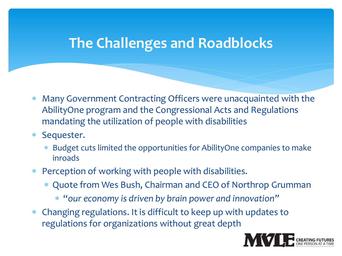### **The Challenges and Roadblocks**

- Many Government Contracting Officers were unacquainted with the AbilityOne program and the Congressional Acts and Regulations mandating the utilization of people with disabilities
- Sequester.
	- Budget cuts limited the opportunities for AbilityOne companies to make inroads
- Perception of working with people with disabilities.
	- Quote from Wes Bush, Chairman and CEO of Northrop Grumman
		- "*our economy is driven by brain power and innovation"*
- Changing regulations. It is difficult to keep up with updates to regulations for organizations without great depth

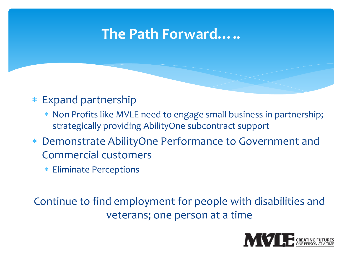## **The Path Forward…..**

- Expand partnership
	- \* Non Profits like MVLE need to engage small business in partnership; strategically providing AbilityOne subcontract support
- Demonstrate AbilityOne Performance to Government and Commercial customers
	- Eliminate Perceptions

Continue to find employment for people with disabilities and veterans; one person at a time